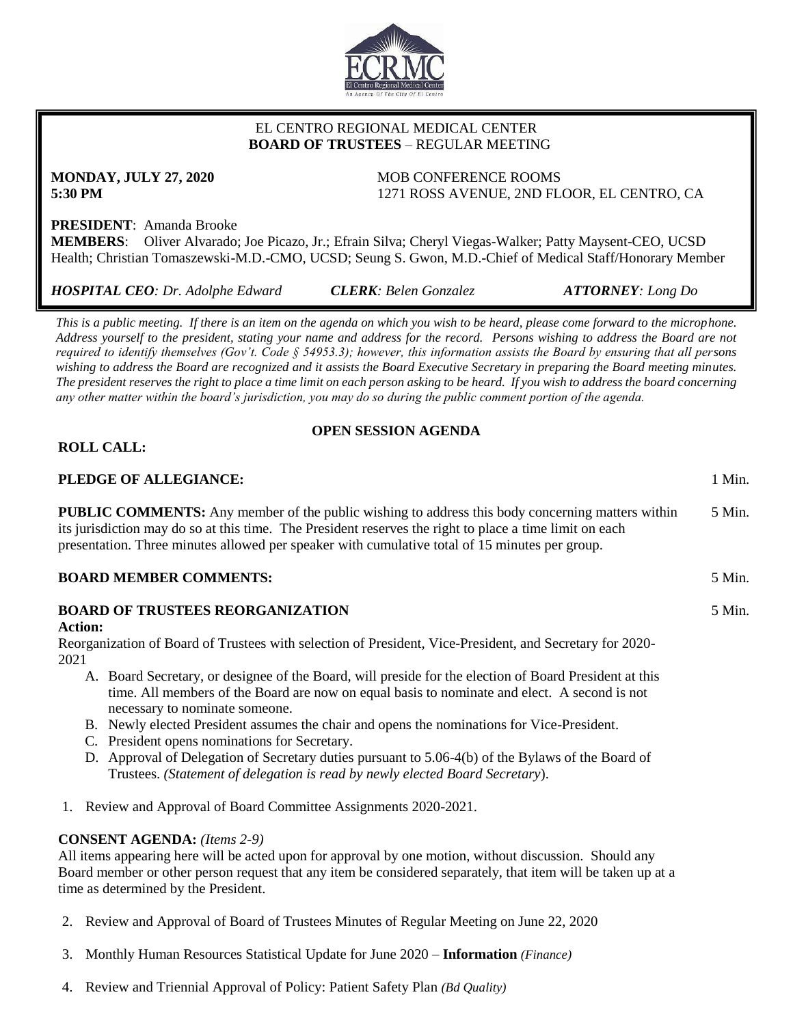

## EL CENTRO REGIONAL MEDICAL CENTER  **BOARD OF TRUSTEES** – REGULAR MEETING

**MONDAY, JULY 27, 2020** MOB CONFERENCE ROOMS **5:30 PM** 1271 ROSS AVENUE, 2ND FLOOR, EL CENTRO, CA

5 Min.

# **PRESIDENT**: Amanda Brooke

**MEMBERS**: Oliver Alvarado; Joe Picazo, Jr.; Efrain Silva; Cheryl Viegas-Walker; Patty Maysent-CEO, UCSD Health; Christian Tomaszewski-M.D.-CMO, UCSD; Seung S. Gwon, M.D.-Chief of Medical Staff/Honorary Member

| <b>HOSPITAL CEO: Dr. Adolphe Edward</b> | <b>CLERK:</b> Belen Gonzalez | <b>ATTORNEY:</b> Long Do |
|-----------------------------------------|------------------------------|--------------------------|
|                                         |                              |                          |

*This is a public meeting. If there is an item on the agenda on which you wish to be heard, please come forward to the microphone. Address yourself to the president, stating your name and address for the record. Persons wishing to address the Board are not required to identify themselves (Gov't. Code § 54953.3); however, this information assists the Board by ensuring that all persons wishing to address the Board are recognized and it assists the Board Executive Secretary in preparing the Board meeting minutes. The president reserves the right to place a time limit on each person asking to be heard. If you wish to address the board concerning any other matter within the board's jurisdiction, you may do so during the public comment portion of the agenda.*

## **OPEN SESSION AGENDA**

## **ROLL CALL:**

### **PLEDGE OF ALLEGIANCE:** 1 Min.

**PUBLIC COMMENTS:** Any member of the public wishing to address this body concerning matters within its jurisdiction may do so at this time. The President reserves the right to place a time limit on each presentation. Three minutes allowed per speaker with cumulative total of 15 minutes per group. 5 Min.

### **BOARD MEMBER COMMENTS:** 5 Min.

# **BOARD OF TRUSTEES REORGANIZATION Action:**

Reorganization of Board of Trustees with selection of President, Vice-President, and Secretary for 2020- 2021

- A. Board Secretary, or designee of the Board, will preside for the election of Board President at this time. All members of the Board are now on equal basis to nominate and elect. A second is not necessary to nominate someone.
- B. Newly elected President assumes the chair and opens the nominations for Vice-President.
- C. President opens nominations for Secretary.
- D. Approval of Delegation of Secretary duties pursuant to 5.06-4(b) of the Bylaws of the Board of Trustees. *(Statement of delegation is read by newly elected Board Secretary*).
- 1. Review and Approval of Board Committee Assignments 2020-2021.

## **CONSENT AGENDA:** *(Items 2-9)*

All items appearing here will be acted upon for approval by one motion, without discussion. Should any Board member or other person request that any item be considered separately, that item will be taken up at a time as determined by the President.

- 2. Review and Approval of Board of Trustees Minutes of Regular Meeting on June 22, 2020
- 3. Monthly Human Resources Statistical Update for June 2020 **Information** *(Finance)*
- 4. Review and Triennial Approval of Policy: Patient Safety Plan *(Bd Quality)*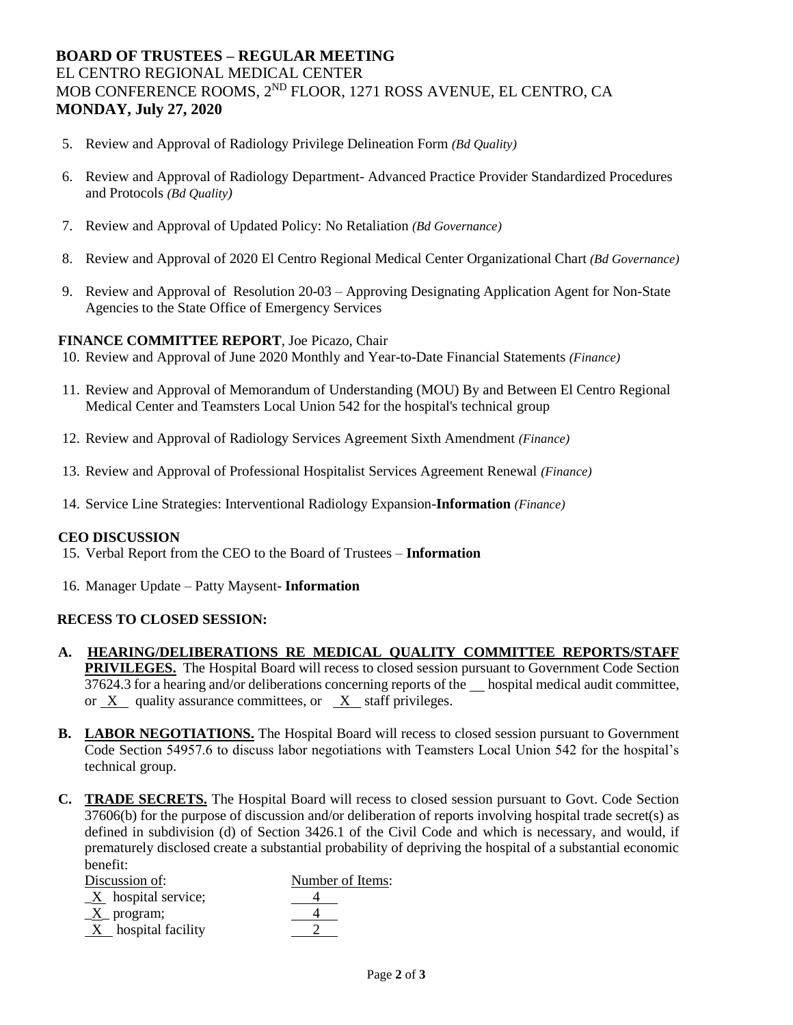# **BOARD OF TRUSTEES – REGULAR MEETING** EL CENTRO REGIONAL MEDICAL CENTER MOB CONFERENCE ROOMS, 2ND FLOOR, 1271 ROSS AVENUE, EL CENTRO, CA **MONDAY, July 27, 2020**

- 5. Review and Approval of Radiology Privilege Delineation Form *(Bd Quality)*
- 6. Review and Approval of Radiology Department- Advanced Practice Provider Standardized Procedures and Protocols *(Bd Quality)*
- 7. Review and Approval of Updated Policy: No Retaliation *(Bd Governance)*
- 8. Review and Approval of 2020 El Centro Regional Medical Center Organizational Chart *(Bd Governance)*
- 9. Review and Approval of Resolution 20-03 Approving Designating Application Agent for Non-State Agencies to the State Office of Emergency Services

#### **FINANCE COMMITTEE REPORT**, Joe Picazo, Chair

- 10. Review and Approval of June 2020 Monthly and Year-to-Date Financial Statements *(Finance)*
- 11. Review and Approval of Memorandum of Understanding (MOU) By and Between El Centro Regional Medical Center and Teamsters Local Union 542 for the hospital's technical group
- 12. Review and Approval of Radiology Services Agreement Sixth Amendment *(Finance)*
- 13. Review and Approval of Professional Hospitalist Services Agreement Renewal *(Finance)*
- 14. Service Line Strategies: Interventional Radiology Expansion-**Information** *(Finance)*

#### **CEO DISCUSSION**

- 15. Verbal Report from the CEO to the Board of Trustees **Information**
- 16. Manager Update Patty Maysent- **Information**

#### **RECESS TO CLOSED SESSION:**

- **A. HEARING/DELIBERATIONS RE MEDICAL QUALITY COMMITTEE REPORTS/STAFF PRIVILEGES.** The Hospital Board will recess to closed session pursuant to Government Code Section 37624.3 for a hearing and/or deliberations concerning reports of the hospital medical audit committee, or X quality assurance committees, or X staff privileges.
- **B. LABOR NEGOTIATIONS.** The Hospital Board will recess to closed session pursuant to Government Code Section 54957.6 to discuss labor negotiations with Teamsters Local Union 542 for the hospital's technical group.
- **C. TRADE SECRETS.** The Hospital Board will recess to closed session pursuant to Govt. Code Section 37606(b) for the purpose of discussion and/or deliberation of reports involving hospital trade secret(s) as defined in subdivision (d) of Section 3426.1 of the Civil Code and which is necessary, and would, if prematurely disclosed create a substantial probability of depriving the hospital of a substantial economic benefit: